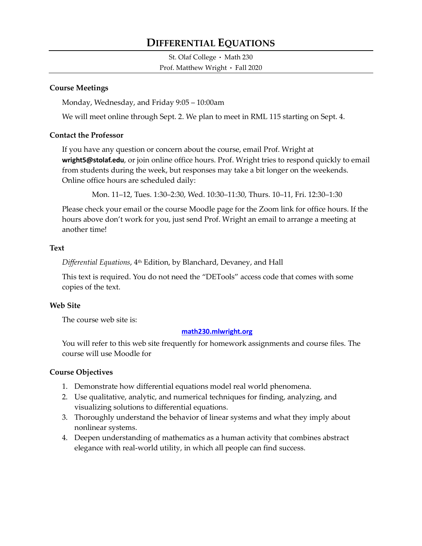# **DIFFERENTIAL EQUATIONS**

St. Olaf College • Math 230 Prof. Matthew Wright • Fall 2020

#### **Course Meetings**

Monday, Wednesday, and Friday 9:05 – 10:00am

We will meet online through Sept. 2. We plan to meet in RML 115 starting on Sept. 4.

#### **Contact the Professor**

If you have any question or concern about the course, email Prof. Wright at **wright5@stolaf.edu**, or join online office hours. Prof. Wright tries to respond quickly to email from students during the week, but responses may take a bit longer on the weekends. Online office hours are scheduled daily:

Mon. 11–12, Tues. 1:30–2:30, Wed. 10:30–11:30, Thurs. 10–11, Fri. 12:30–1:30

Please check your email or the course Moodle page for the Zoom link for office hours. If the hours above don't work for you, just send Prof. Wright an email to arrange a meeting at another time!

#### **Text**

*Differential Equations*, 4th Edition, by Blanchard, Devaney, and Hall

This text is required. You do not need the "DETools" access code that comes with some copies of the text.

## **Web Site**

The course web site is:

#### **[math230.mlwright.org](https://www.mlwright.org/teaching/math230f20/)**

You will refer to this web site frequently for homework assignments and course files. The course will use Moodle for

## **Course Objectives**

- 1. Demonstrate how differential equations model real world phenomena.
- 2. Use qualitative, analytic, and numerical techniques for finding, analyzing, and visualizing solutions to differential equations.
- 3. Thoroughly understand the behavior of linear systems and what they imply about nonlinear systems.
- 4. Deepen understanding of mathematics as a human activity that combines abstract elegance with real-world utility, in which all people can find success.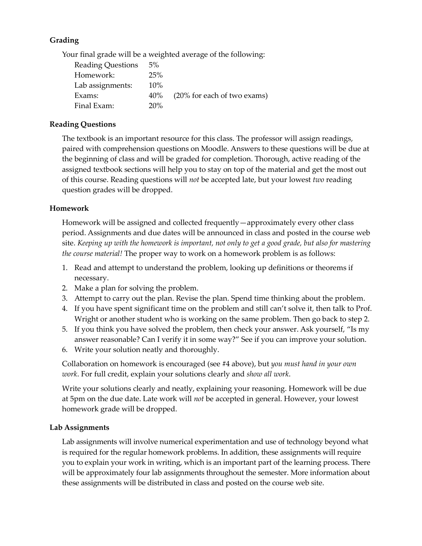## **Grading**

Your final grade will be a weighted average of the following:

| <b>Reading Questions</b> | 5%     |                             |
|--------------------------|--------|-----------------------------|
| Homework:                | 25%    |                             |
| Lab assignments:         | 10%    |                             |
| Exams:                   | $40\%$ | (20% for each of two exams) |
| Final Exam:              | 20%    |                             |

## **Reading Questions**

The textbook is an important resource for this class. The professor will assign readings, paired with comprehension questions on Moodle. Answers to these questions will be due at the beginning of class and will be graded for completion. Thorough, active reading of the assigned textbook sections will help you to stay on top of the material and get the most out of this course. Reading questions will *not* be accepted late, but your lowest *two* reading question grades will be dropped.

## **Homework**

Homework will be assigned and collected frequently—approximately every other class period. Assignments and due dates will be announced in class and posted in the course web site. *Keeping up with the homework is important, not only to get a good grade, but also for mastering the course material!* The proper way to work on a homework problem is as follows:

- 1. Read and attempt to understand the problem, looking up definitions or theorems if necessary.
- 2. Make a plan for solving the problem.
- 3. Attempt to carry out the plan. Revise the plan. Spend time thinking about the problem.
- 4. If you have spent significant time on the problem and still can't solve it, then talk to Prof. Wright or another student who is working on the same problem. Then go back to step 2.
- 5. If you think you have solved the problem, then check your answer. Ask yourself, "Is my answer reasonable? Can I verify it in some way?" See if you can improve your solution.
- 6. Write your solution neatly and thoroughly.

Collaboration on homework is encouraged (see #4 above), but *you must hand in your own work*. For full credit, explain your solutions clearly and *show all work*.

Write your solutions clearly and neatly, explaining your reasoning. Homework will be due at 5pm on the due date. Late work will *not* be accepted in general. However, your lowest homework grade will be dropped.

## **Lab Assignments**

Lab assignments will involve numerical experimentation and use of technology beyond what is required for the regular homework problems. In addition, these assignments will require you to explain your work in writing, which is an important part of the learning process. There will be approximately four lab assignments throughout the semester. More information about these assignments will be distributed in class and posted on the course web site.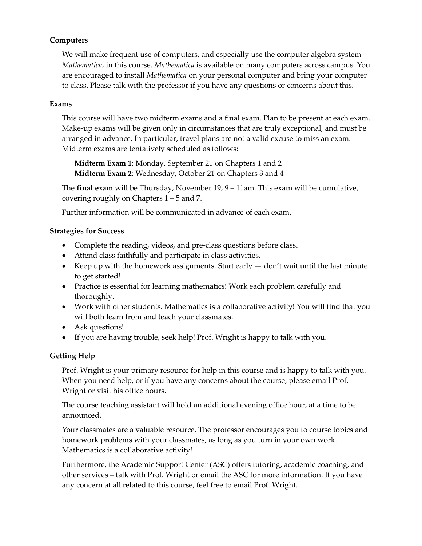## **Computers**

We will make frequent use of computers, and especially use the computer algebra system *Mathematica*, in this course. *Mathematica* is available on many computers across campus. You are encouraged to install *Mathematica* on your personal computer and bring your computer to class. Please talk with the professor if you have any questions or concerns about this.

#### **Exams**

This course will have two midterm exams and a final exam. Plan to be present at each exam. Make-up exams will be given only in circumstances that are truly exceptional, and must be arranged in advance. In particular, travel plans are not a valid excuse to miss an exam. Midterm exams are tentatively scheduled as follows:

**Midterm Exam 1**: Monday, September 21 on Chapters 1 and 2 **Midterm Exam 2**: Wednesday, October 21 on Chapters 3 and 4

The **final exam** will be Thursday, November 19, 9 – 11am. This exam will be cumulative, covering roughly on Chapters 1 – 5 and 7.

Further information will be communicated in advance of each exam.

## **Strategies for Success**

- Complete the reading, videos, and pre-class questions before class.
- Attend class faithfully and participate in class activities.
- Exercise Mean with the homework assignments. Start early  $-$  don't wait until the last minute to get started!
- Practice is essential for learning mathematics! Work each problem carefully and thoroughly.
- Work with other students. Mathematics is a collaborative activity! You will find that you will both learn from and teach your classmates.
- Ask questions!
- If you are having trouble, seek help! Prof. Wright is happy to talk with you.

# **Getting Help**

Prof. Wright is your primary resource for help in this course and is happy to talk with you. When you need help, or if you have any concerns about the course, please email Prof. Wright or visit his office hours.

The course teaching assistant will hold an additional evening office hour, at a time to be announced.

Your classmates are a valuable resource. The professor encourages you to course topics and homework problems with your classmates, as long as you turn in your own work. Mathematics is a collaborative activity!

Furthermore, the Academic Support Center (ASC) offers tutoring, academic coaching, and other services – talk with Prof. Wright or email the ASC for more information. If you have any concern at all related to this course, feel free to email Prof. Wright.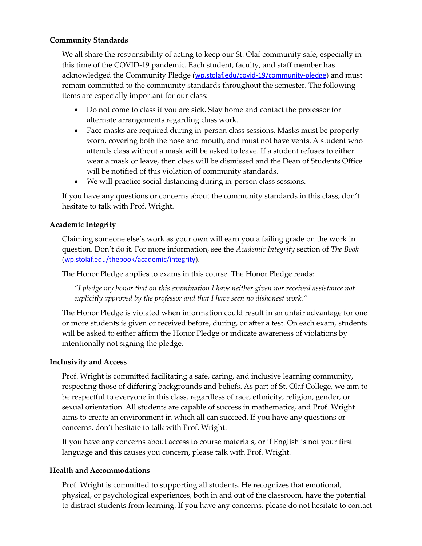## **Community Standards**

We all share the responsibility of acting to keep our St. Olaf community safe, especially in this time of the COVID-19 pandemic. Each student, faculty, and staff member has acknowledged the Community Pledge ([wp.stolaf.edu/covid-19/community-pledge](https://wp.stolaf.edu/covid-19/community-pledge/)) and must remain committed to the community standards throughout the semester. The following items are especially important for our class:

- Do not come to class if you are sick. Stay home and contact the professor for alternate arrangements regarding class work.
- Face masks are required during in-person class sessions. Masks must be properly worn, covering both the nose and mouth, and must not have vents. A student who attends class without a mask will be asked to leave. If a student refuses to either wear a mask or leave, then class will be dismissed and the Dean of Students Office will be notified of this violation of community standards.
- We will practice social distancing during in-person class sessions.

If you have any questions or concerns about the community standards in this class, don't hesitate to talk with Prof. Wright.

## **Academic Integrity**

Claiming someone else's work as your own will earn you a failing grade on the work in question. Don't do it. For more information, see the *Academic Integrity* section of *The Book* ([wp.stolaf.edu/thebook/academic/integrity](https://wp.stolaf.edu/thebook/academic/integrity)).

The Honor Pledge applies to exams in this course. The Honor Pledge reads:

*"I pledge my honor that on this examination I have neither given nor received assistance not explicitly approved by the professor and that I have seen no dishonest work."*

The Honor Pledge is violated when information could result in an unfair advantage for one or more students is given or received before, during, or after a test. On each exam, students will be asked to either affirm the Honor Pledge or indicate awareness of violations by intentionally not signing the pledge.

# **Inclusivity and Access**

Prof. Wright is committed facilitating a safe, caring, and inclusive learning community, respecting those of differing backgrounds and beliefs. As part of St. Olaf College, we aim to be respectful to everyone in this class, regardless of race, ethnicity, religion, gender, or sexual orientation. All students are capable of success in mathematics, and Prof. Wright aims to create an environment in which all can succeed. If you have any questions or concerns, don't hesitate to talk with Prof. Wright.

If you have any concerns about access to course materials, or if English is not your first language and this causes you concern, please talk with Prof. Wright.

# **Health and Accommodations**

Prof. Wright is committed to supporting all students. He recognizes that emotional, physical, or psychological experiences, both in and out of the classroom, have the potential to distract students from learning. If you have any concerns, please do not hesitate to contact